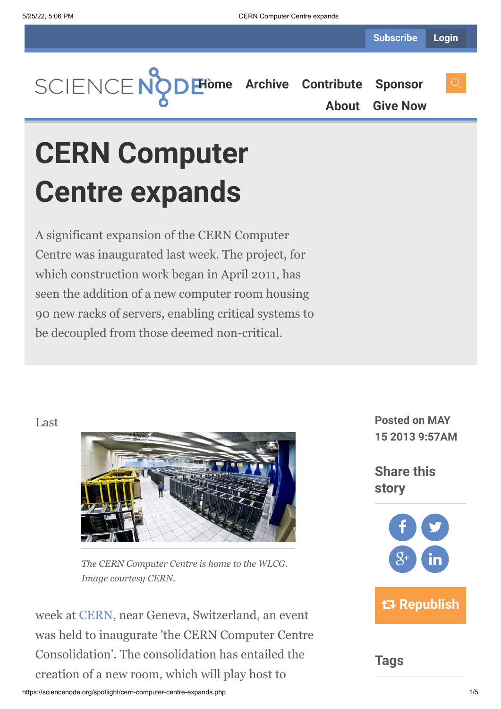

**[About](https://sciencenode.org/about/index.php) [Give Now](https://sciencenode.org/donate/index.php)**

# **CERN Computer Centre expands**

A significant expansion of the CERN Computer Centre was inaugurated last week. The project, for which construction work began in April 2011, has seen the addition of a new computer room housing 90 new racks of servers, enabling critical systems to be decoupled from those deemed non-critical.

## Last



*The CERN Computer Centre is home to the WLCG. Image courtesy CERN.*

week at [CERN](http://www.cern.ch/), near Geneva, Switzerland, an event was held to inaugurate 'the CERN Computer Centre Consolidation'. The consolidation has entailed the creation of a new room, which will play host to

**Posted on MAY 15 2013 9:57AM**

**Share this story**



**Tags**

https://sciencenode.org/spotlight/cern-computer-centre-expands.php 1/5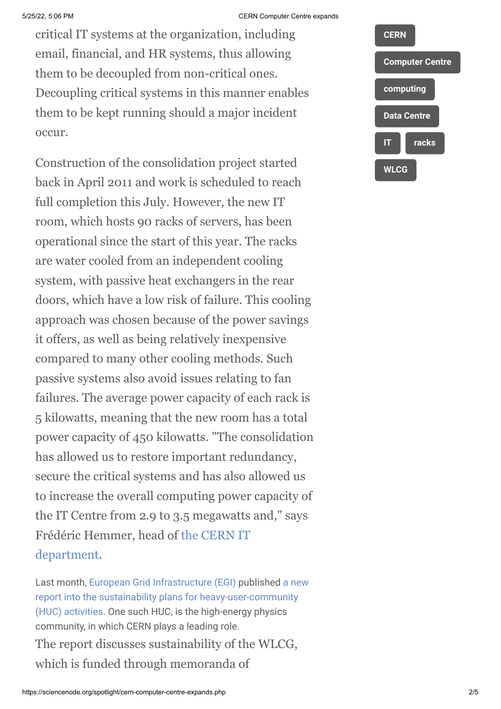#### 5/25/22, 5:06 PM CERN Computer Centre expands

critical IT systems at the organization, including email, financial, and HR systems, thus allowing them to be decoupled from non-critical ones. Decoupling critical systems in this manner enables them to be kept running should a major incident occur.

Construction of the consolidation project started back in April 2011 and work is scheduled to reach full completion this July. However, the new IT room, which hosts 90 racks of servers, has been operational since the start of this year. The racks are water cooled from an independent cooling system, with passive heat exchangers in the rear doors, which have a low risk of failure. This cooling approach was chosen because of the power savings it offers, as well as being relatively inexpensive compared to many other cooling methods. Such passive systems also avoid issues relating to fan failures. The average power capacity of each rack is 5 kilowatts, meaning that the new room has a total power capacity of 450 kilowatts. "The consolidation has allowed us to restore important redundancy, secure the critical systems and has also allowed us to increase the overall computing power capacity of the IT Centre from 2.9 to 3.5 megawatts and," says [Frédéric Hemmer, head of the CERN IT](http://information-technology.web.cern.ch/) department.

[Last month, E](https://documents.egi.eu/public/ShowDocument?docid=744)[uropean Grid Infrastructure \(EGI\)](http://www.egi.eu/) [published a new](https://documents.egi.eu/public/ShowDocument?docid=744) report into the sustainability plans for heavy-user-community (HUC) activities. One such HUC, is the high-energy physics community, in which CERN plays a leading role. The report discusses sustainability of the WLCG, which is funded through memoranda of

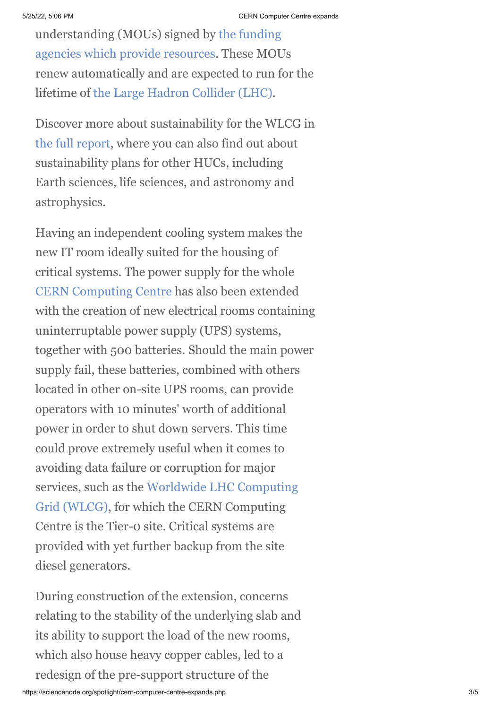[understanding \(MOUs\) signed by the funding](https://espace.cern.ch/WLCG-document-repository/MoU/admin/MoU_basics/ANNEX-4/Annex4_Funding-Agencies_Representatives_28FEB13.pdf) agencies which provide resources. These MOUs renew automatically and are expected to run for the lifetime of [the Large Hadron Collider \(LHC\).](http://home.web.cern.ch/about/accelerators/large-hadron-collider)

Discover more about sustainability for the WLCG in [the full report](http://documents.egi.eu/public/ShowDocument?docid=744), where you can also find out about sustainability plans for other HUCs, including Earth sciences, life sciences, and astronomy and astrophysics.

Having an independent cooling system makes the new IT room ideally suited for the housing of critical systems. The power supply for the whole [CERN Computing Centre](http://information-technology.web.cern.ch/about/computer-centre) has also been extended with the creation of new electrical rooms containing uninterruptable power supply (UPS) systems, together with 500 batteries. Should the main power supply fail, these batteries, combined with others located in other on-site UPS rooms, can provide operators with 10 minutes' worth of additional power in order to shut down servers. This time could prove extremely useful when it comes to avoiding data failure or corruption for major [services, such as the Worldwide LHC Computing](http://wlcg.web.cern.ch/) Grid (WLCG), for which the CERN Computing Centre is the Tier-0 site. Critical systems are provided with yet further backup from the site diesel generators.

During construction of the extension, concerns relating to the stability of the underlying slab and its ability to support the load of the new rooms, which also house heavy copper cables, led to a redesign of the pre-support structure of the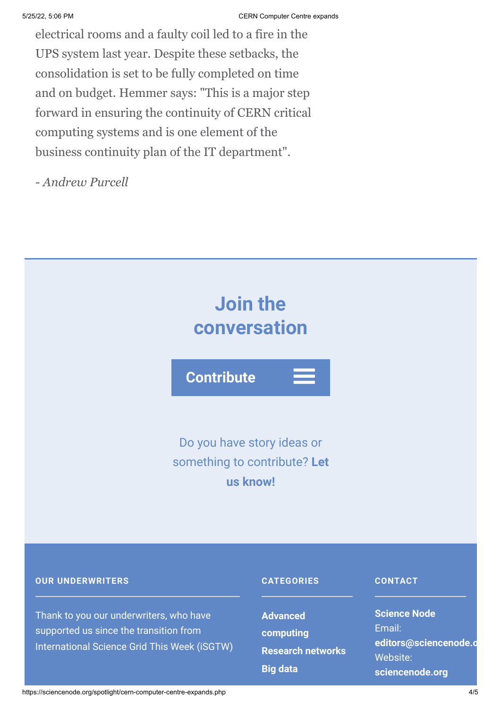electrical rooms and a faulty coil led to a fire in the UPS system last year. Despite these setbacks, the consolidation is set to be fully completed on time and on budget. Hemmer says: "This is a major step forward in ensuring the continuity of CERN critical computing systems and is one element of the business continuity plan of the IT department".

*- Andrew Purcell*



### **OUR UNDERWRITERS**

Thank to you our underwriters, who have supported us since the transition from International Science Grid This Week (iSGTW)

#### **CATEGORIES**

**Advanced [computing](https://sciencenode.org/archive/?year=2016&category=Advanced%20computing) [Research networks](https://sciencenode.org/archive/?year=2016&category=Advanced%20computing&category=Research%20networks) [Big data](https://sciencenode.org/archive/?year=2016&category=Advanced%20computing&category=Research%20networks&category=Big%20data)**

#### **CONTACT**

**Science Node** Email: **[editors@sciencenode.o](mailto:edit%6F%72s@s%63%69encenode.%6F%72%67)** Website: **[sciencenode.org](https://sciencenode.org/)**